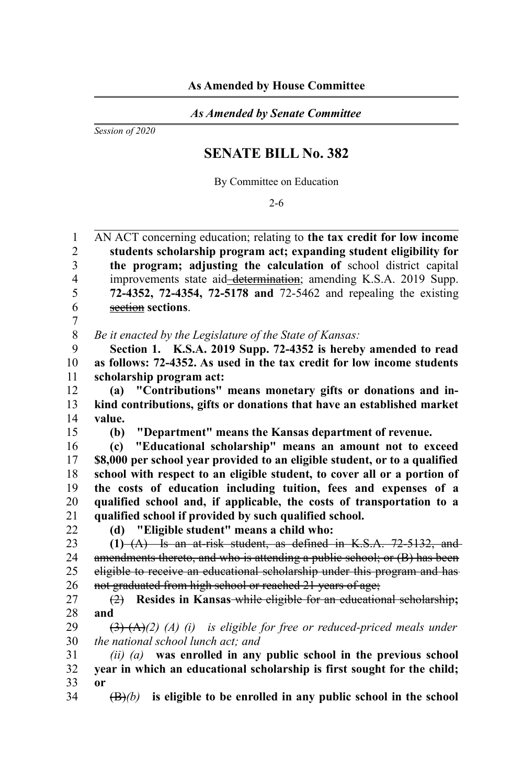## *As Amended by Senate Committee*

*Session of 2020*

## **SENATE BILL No. 382**

By Committee on Education

2-6

AN ACT concerning education; relating to **the tax credit for low income students scholarship program act; expanding student eligibility for the program; adjusting the calculation of** school district capital improvements state aid-determination; amending K.S.A. 2019 Supp. **72-4352, 72-4354, 72-5178 and** 72-5462 and repealing the existing section **sections**. 1  $\mathfrak{D}$ 3 4 5 6 7

*Be it enacted by the Legislature of the State of Kansas:* 8

**Section 1. K.S.A. 2019 Supp. 72-4352 is hereby amended to read as follows: 72-4352. As used in the tax credit for low income students scholarship program act:** 9 10 11

**(a) "Contributions" means monetary gifts or donations and inkind contributions, gifts or donations that have an established market value.** 12 13 14

**(b) "Department" means the Kansas department of revenue.**

**(c) "Educational scholarship" means an amount not to exceed \$8,000 per school year provided to an eligible student, or to a qualified school with respect to an eligible student, to cover all or a portion of the costs of education including tuition, fees and expenses of a qualified school and, if applicable, the costs of transportation to a qualified school if provided by such qualified school.** 16 17 18 19 20 21

22

15

**(d) "Eligible student" means a child who:**

**(1)** (A) Is an at-risk student, as defined in K.S.A. 72-5132, and amendments thereto, and who is attending a public school; or (B) has been eligible to receive an educational scholarship under this program and has not graduated from high school or reached 21 years of age; 23 24 25 26

(2) **Resides in Kansas** while eligible for an educational scholarship**; and** 27 28

(3) (A)*(2) (A) (i) is eligible for free or reduced-priced meals under the national school lunch act; and* 29 30

*(ii) (a)* **was enrolled in any public school in the previous school year in which an educational scholarship is first sought for the child; or**  31 32 33

(B)*(b)* **is eligible to be enrolled in any public school in the school** 34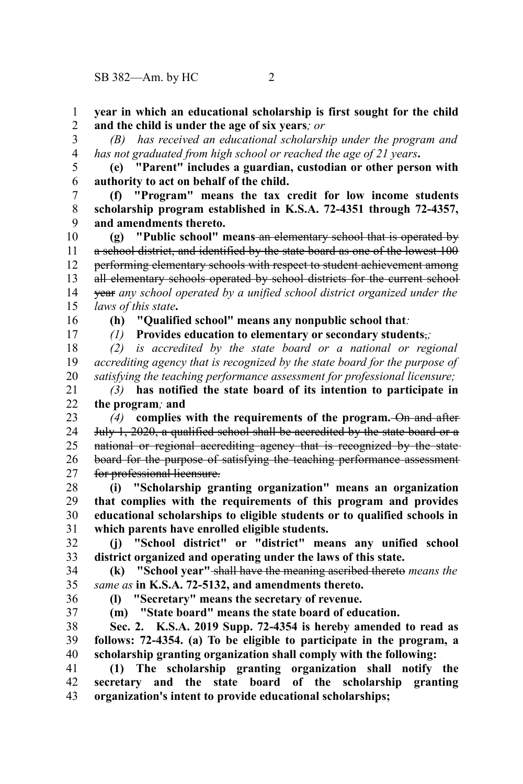**year in which an educational scholarship is first sought for the child and the child is under the age of six years***; or* 1 2

3

*(B) has received an educational scholarship under the program and has not graduated from high school or reached the age of 21 years***.** 4

**(e) "Parent" includes a guardian, custodian or other person with authority to act on behalf of the child.** 5 6

**(f) "Program" means the tax credit for low income students scholarship program established in K.S.A. 72-4351 through 72-4357, and amendments thereto.** 7 8 9

**(g) "Public school" means** an elementary school that is operated by a school district, and identified by the state board as one of the lowest 100 performing elementary schools with respect to student achievement among all elementary schools operated by school districts for the current school year *any school operated by a unified school district organized under the laws of this state***.** 10 11 12 13 14 15

16 17

*(1)* **Provides education to elementary or secondary students**,*;*

*(2) is accredited by the state board or a national or regional accrediting agency that is recognized by the state board for the purpose of satisfying the teaching performance assessment for professional licensure;* 18 19 20

**(h) "Qualified school" means any nonpublic school that***:*

*(3)* **has notified the state board of its intention to participate in the program***;* **and** 21 22

*(4)* **complies with the requirements of the program.** On and after July 1, 2020, a qualified school shall be accredited by the state board or a national or regional accrediting agency that is recognized by the state board for the purpose of satisfying the teaching performance assessment for professional licensure. 23 24 25 26 27

**(i) "Scholarship granting organization" means an organization that complies with the requirements of this program and provides educational scholarships to eligible students or to qualified schools in which parents have enrolled eligible students.** 28 29 30 31

**(j) "School district" or "district" means any unified school district organized and operating under the laws of this state.** 32 33

**(k) "School year"** shall have the meaning ascribed thereto *means the same as* **in K.S.A. 72-5132, and amendments thereto.** 34 35

36

**(l) "Secretary" means the secretary of revenue.**

37

**(m) "State board" means the state board of education.**

**Sec. 2. K.S.A. 2019 Supp. 72-4354 is hereby amended to read as follows: 72-4354. (a) To be eligible to participate in the program, a scholarship granting organization shall comply with the following:** 38 39 40

**(1) The scholarship granting organization shall notify the secretary and the state board of the scholarship granting organization's intent to provide educational scholarships;** 41 42 43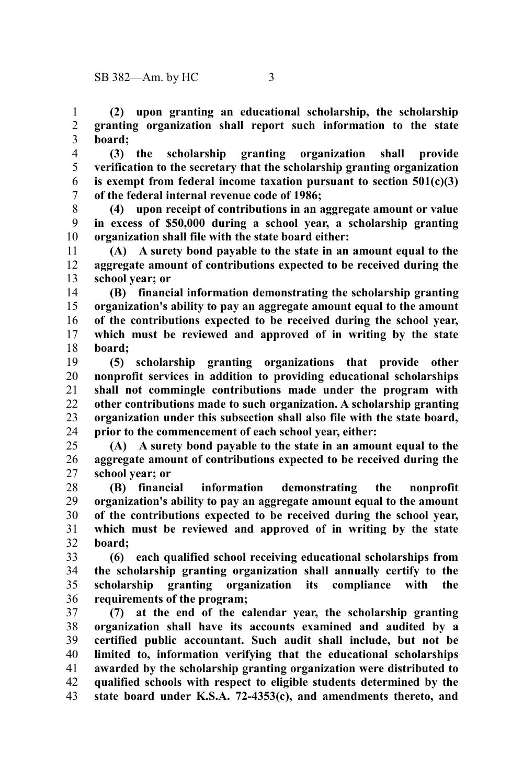**(2) upon granting an educational scholarship, the scholarship granting organization shall report such information to the state board;** 1 2 3

**(3) the scholarship granting organization shall provide verification to the secretary that the scholarship granting organization is exempt from federal income taxation pursuant to section 501(c)(3) of the federal internal revenue code of 1986;** 4 5 6 7

**(4) upon receipt of contributions in an aggregate amount or value in excess of \$50,000 during a school year, a scholarship granting organization shall file with the state board either:** 8 9 10

**(A) A surety bond payable to the state in an amount equal to the aggregate amount of contributions expected to be received during the school year; or** 11 12 13

**(B) financial information demonstrating the scholarship granting organization's ability to pay an aggregate amount equal to the amount of the contributions expected to be received during the school year, which must be reviewed and approved of in writing by the state board;** 14 15 16 17 18

**(5) scholarship granting organizations that provide other nonprofit services in addition to providing educational scholarships shall not commingle contributions made under the program with other contributions made to such organization. A scholarship granting organization under this subsection shall also file with the state board, prior to the commencement of each school year, either:** 19 20 21 22 23 24

**(A) A surety bond payable to the state in an amount equal to the aggregate amount of contributions expected to be received during the school year; or** 25 26 27

**(B) financial information demonstrating the nonprofit organization's ability to pay an aggregate amount equal to the amount of the contributions expected to be received during the school year, which must be reviewed and approved of in writing by the state board;** 28 29 30 31 32

**(6) each qualified school receiving educational scholarships from the scholarship granting organization shall annually certify to the scholarship granting organization its compliance with the requirements of the program;** 33 34 35 36

**(7) at the end of the calendar year, the scholarship granting organization shall have its accounts examined and audited by a certified public accountant. Such audit shall include, but not be limited to, information verifying that the educational scholarships awarded by the scholarship granting organization were distributed to qualified schools with respect to eligible students determined by the state board under K.S.A. 72-4353(c), and amendments thereto, and** 37 38 39 40 41 42 43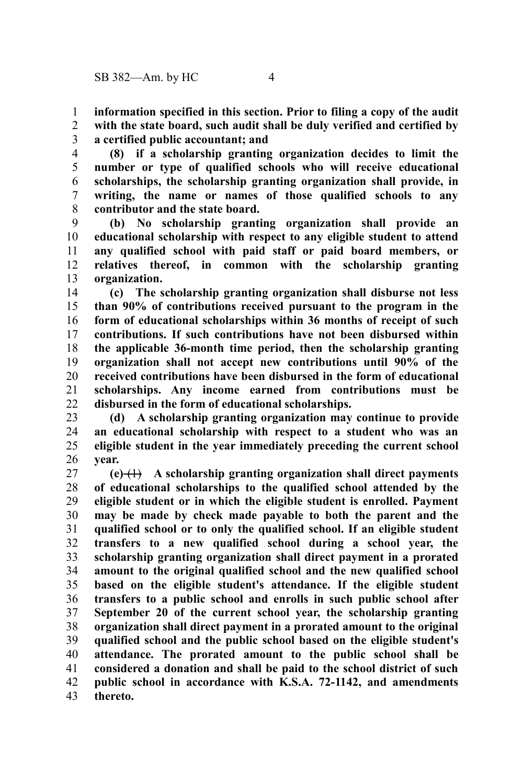**information specified in this section. Prior to filing a copy of the audit with the state board, such audit shall be duly verified and certified by a certified public accountant; and** 1 2 3

**(8) if a scholarship granting organization decides to limit the number or type of qualified schools who will receive educational scholarships, the scholarship granting organization shall provide, in writing, the name or names of those qualified schools to any contributor and the state board.** 4 5 6 7 8

**(b) No scholarship granting organization shall provide an educational scholarship with respect to any eligible student to attend any qualified school with paid staff or paid board members, or relatives thereof, in common with the scholarship granting organization.** 9 10 11 12 13

**(c) The scholarship granting organization shall disburse not less than 90% of contributions received pursuant to the program in the form of educational scholarships within 36 months of receipt of such contributions. If such contributions have not been disbursed within the applicable 36-month time period, then the scholarship granting organization shall not accept new contributions until 90% of the received contributions have been disbursed in the form of educational scholarships. Any income earned from contributions must be disbursed in the form of educational scholarships.** 14 15 16 17 18 19 20 21 22

**(d) A scholarship granting organization may continue to provide an educational scholarship with respect to a student who was an eligible student in the year immediately preceding the current school year.** 23 24 25 26

**(e)** (1) **A scholarship granting organization shall direct payments of educational scholarships to the qualified school attended by the eligible student or in which the eligible student is enrolled. Payment may be made by check made payable to both the parent and the qualified school or to only the qualified school. If an eligible student transfers to a new qualified school during a school year, the scholarship granting organization shall direct payment in a prorated amount to the original qualified school and the new qualified school based on the eligible student's attendance. If the eligible student transfers to a public school and enrolls in such public school after September 20 of the current school year, the scholarship granting organization shall direct payment in a prorated amount to the original qualified school and the public school based on the eligible student's attendance. The prorated amount to the public school shall be considered a donation and shall be paid to the school district of such public school in accordance with K.S.A. 72-1142, and amendments thereto.** 27 28 29 30 31 32 33 34 35 36 37 38 39 40 41 42 43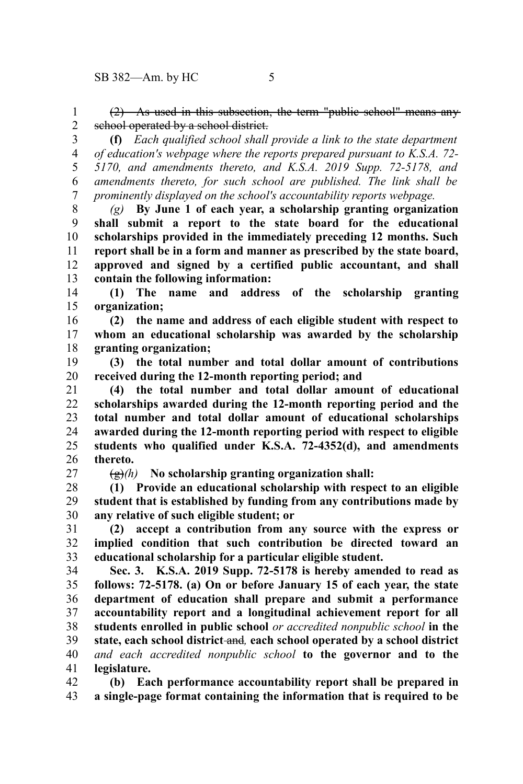(2) As used in this subsection, the term "public school" means any school operated by a school district. 1 2

**(f)** *Each qualified school shall provide a link to the state department of education's webpage where the reports prepared pursuant to K.S.A. 72- 5170, and amendments thereto, and K.S.A. 2019 Supp. 72-5178, and amendments thereto, for such school are published. The link shall be prominently displayed on the school's accountability reports webpage.* 3 4 5 6 7

*(g)* **By June 1 of each year, a scholarship granting organization shall submit a report to the state board for the educational scholarships provided in the immediately preceding 12 months. Such report shall be in a form and manner as prescribed by the state board, approved and signed by a certified public accountant, and shall contain the following information:** 8 9 10 11 12 13

**(1) The name and address of the scholarship granting organization;** 14 15

**(2) the name and address of each eligible student with respect to whom an educational scholarship was awarded by the scholarship granting organization;** 16 17 18

**(3) the total number and total dollar amount of contributions received during the 12-month reporting period; and** 19 20

**(4) the total number and total dollar amount of educational scholarships awarded during the 12-month reporting period and the total number and total dollar amount of educational scholarships awarded during the 12-month reporting period with respect to eligible students who qualified under K.S.A. 72-4352(d), and amendments thereto.** 21 22 23 24 25 26

27

(g)*(h)* **No scholarship granting organization shall:**

**(1) Provide an educational scholarship with respect to an eligible student that is established by funding from any contributions made by any relative of such eligible student; or** 28 29 30

**(2) accept a contribution from any source with the express or implied condition that such contribution be directed toward an educational scholarship for a particular eligible student.** 31 32 33

**Sec. 3. K.S.A. 2019 Supp. 72-5178 is hereby amended to read as follows: 72-5178. (a) On or before January 15 of each year, the state department of education shall prepare and submit a performance accountability report and a longitudinal achievement report for all students enrolled in public school** *or accredited nonpublic school* **in the state, each school district** and*,* **each school operated by a school district** *and each accredited nonpublic school* **to the governor and to the legislature.** 34 35 36 37 38 39 40 41

**(b) Each performance accountability report shall be prepared in a single-page format containing the information that is required to be** 42 43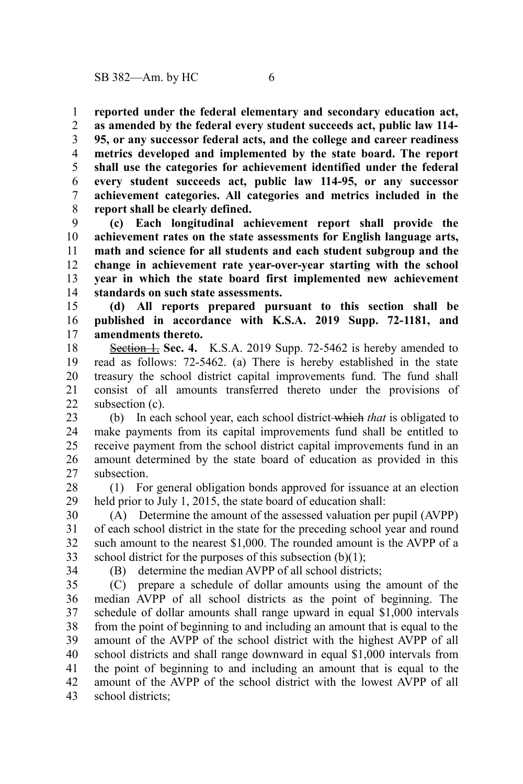**reported under the federal elementary and secondary education act,** 1

**as amended by the federal every student succeeds act, public law 114- 95, or any successor federal acts, and the college and career readiness metrics developed and implemented by the state board. The report shall use the categories for achievement identified under the federal every student succeeds act, public law 114-95, or any successor achievement categories. All categories and metrics included in the report shall be clearly defined.** 2 3 4 5 6 7 8

**(c) Each longitudinal achievement report shall provide the achievement rates on the state assessments for English language arts, math and science for all students and each student subgroup and the change in achievement rate year-over-year starting with the school year in which the state board first implemented new achievement standards on such state assessments.** 9 10 11 12 13 14

**(d) All reports prepared pursuant to this section shall be published in accordance with K.S.A. 2019 Supp. 72-1181, and amendments thereto.** 15 16 17

**Section 1. Sec. 4.** K.S.A. 2019 Supp. 72-5462 is hereby amended to read as follows: 72-5462. (a) There is hereby established in the state treasury the school district capital improvements fund. The fund shall consist of all amounts transferred thereto under the provisions of subsection (c). 18 19 20 21  $22$ 

(b) In each school year, each school district which *that* is obligated to make payments from its capital improvements fund shall be entitled to receive payment from the school district capital improvements fund in an amount determined by the state board of education as provided in this subsection. 23 24 25 26 27

(1) For general obligation bonds approved for issuance at an election held prior to July 1, 2015, the state board of education shall: 28 29

(A) Determine the amount of the assessed valuation per pupil (AVPP) of each school district in the state for the preceding school year and round such amount to the nearest \$1,000. The rounded amount is the AVPP of a school district for the purposes of this subsection  $(b)(1)$ ; 30 31 32 33

34

(B) determine the median AVPP of all school districts;

(C) prepare a schedule of dollar amounts using the amount of the median AVPP of all school districts as the point of beginning. The schedule of dollar amounts shall range upward in equal \$1,000 intervals from the point of beginning to and including an amount that is equal to the amount of the AVPP of the school district with the highest AVPP of all school districts and shall range downward in equal \$1,000 intervals from the point of beginning to and including an amount that is equal to the amount of the AVPP of the school district with the lowest AVPP of all school districts; 35 36 37 38 39 40 41 42 43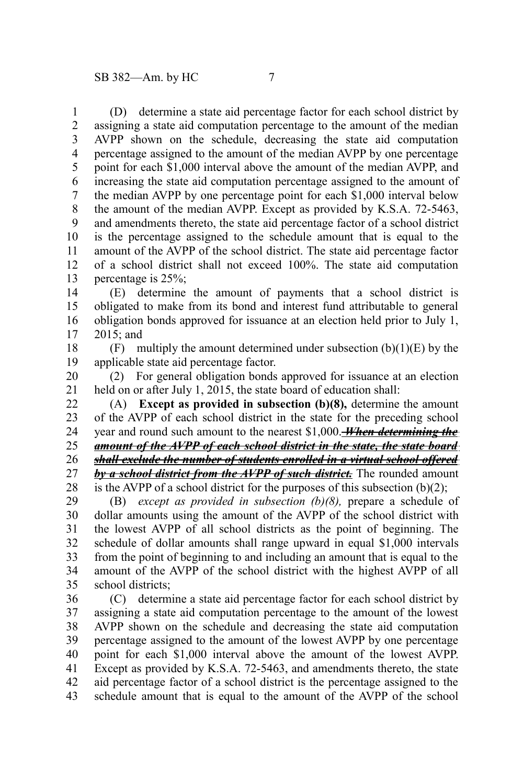(D) determine a state aid percentage factor for each school district by assigning a state aid computation percentage to the amount of the median AVPP shown on the schedule, decreasing the state aid computation percentage assigned to the amount of the median AVPP by one percentage point for each \$1,000 interval above the amount of the median AVPP, and increasing the state aid computation percentage assigned to the amount of the median AVPP by one percentage point for each \$1,000 interval below the amount of the median AVPP. Except as provided by K.S.A. 72-5463, and amendments thereto, the state aid percentage factor of a school district is the percentage assigned to the schedule amount that is equal to the amount of the AVPP of the school district. The state aid percentage factor of a school district shall not exceed 100%. The state aid computation percentage is 25%; 1 2 3 4 5 6 7 8 9 10 11 12 13

(E) determine the amount of payments that a school district is obligated to make from its bond and interest fund attributable to general obligation bonds approved for issuance at an election held prior to July 1, 2015; and 14 15 16 17

(F) multiply the amount determined under subsection  $(b)(1)(E)$  by the applicable state aid percentage factor. 18 19

(2) For general obligation bonds approved for issuance at an election held on or after July 1, 2015, the state board of education shall: 20 21

(A) **Except as provided in subsection (b)(8),** determine the amount of the AVPP of each school district in the state for the preceding school year and round such amount to the nearest \$1,000. *When determining the amount of the AVPP of each school district in the state, the state board shall exclude the number of students enrolled in a virtual school offered by a school district from the AVPP of such district.* The rounded amount is the AVPP of a school district for the purposes of this subsection  $(b)(2)$ ; 22 23 24 25 26 27 28

(B) *except as provided in subsection (b)(8),* prepare a schedule of dollar amounts using the amount of the AVPP of the school district with the lowest AVPP of all school districts as the point of beginning. The schedule of dollar amounts shall range upward in equal \$1,000 intervals from the point of beginning to and including an amount that is equal to the amount of the AVPP of the school district with the highest AVPP of all school districts; 29 30 31 32 33 34 35

(C) determine a state aid percentage factor for each school district by assigning a state aid computation percentage to the amount of the lowest AVPP shown on the schedule and decreasing the state aid computation percentage assigned to the amount of the lowest AVPP by one percentage point for each \$1,000 interval above the amount of the lowest AVPP. Except as provided by K.S.A. 72-5463, and amendments thereto, the state aid percentage factor of a school district is the percentage assigned to the schedule amount that is equal to the amount of the AVPP of the school 36 37 38 39 40 41 42 43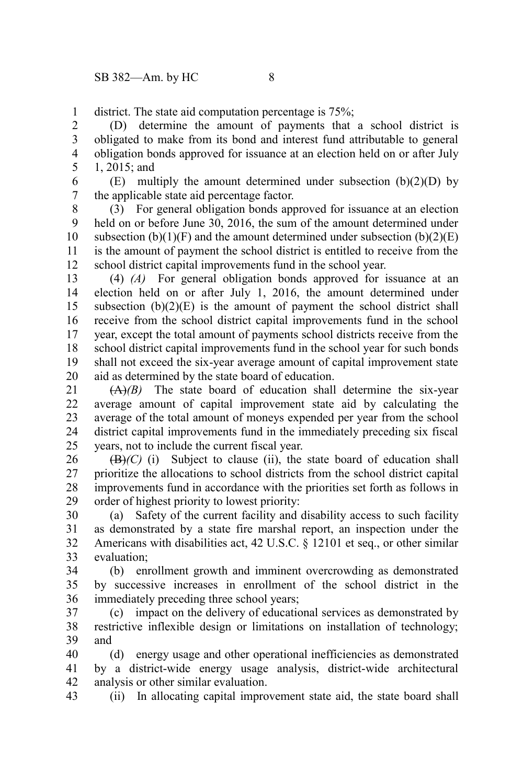district. The state aid computation percentage is 75%; 1

(D) determine the amount of payments that a school district is obligated to make from its bond and interest fund attributable to general obligation bonds approved for issuance at an election held on or after July 1, 2015; and 2 3 4 5

 $(E)$  multiply the amount determined under subsection  $(b)(2)(D)$  by the applicable state aid percentage factor. 6 7

(3) For general obligation bonds approved for issuance at an election held on or before June 30, 2016, the sum of the amount determined under subsection  $(b)(1)(F)$  and the amount determined under subsection  $(b)(2)(E)$ is the amount of payment the school district is entitled to receive from the school district capital improvements fund in the school year. 8 9 10 11 12

(4) *(A)* For general obligation bonds approved for issuance at an election held on or after July 1, 2016, the amount determined under subsection  $(b)(2)(E)$  is the amount of payment the school district shall receive from the school district capital improvements fund in the school year, except the total amount of payments school districts receive from the school district capital improvements fund in the school year for such bonds shall not exceed the six-year average amount of capital improvement state aid as determined by the state board of education. 13 14 15 16 17 18 19 20

 $(A)(B)$  The state board of education shall determine the six-year average amount of capital improvement state aid by calculating the average of the total amount of moneys expended per year from the school district capital improvements fund in the immediately preceding six fiscal years, not to include the current fiscal year. 21 22 23 24 25

 $(\mathbf{B})/(\mathbf{C})$  (i) Subject to clause (ii), the state board of education shall prioritize the allocations to school districts from the school district capital improvements fund in accordance with the priorities set forth as follows in order of highest priority to lowest priority: 26 27 28 29

(a) Safety of the current facility and disability access to such facility as demonstrated by a state fire marshal report, an inspection under the Americans with disabilities act, 42 U.S.C. § 12101 et seq., or other similar evaluation; 30 31 32 33

(b) enrollment growth and imminent overcrowding as demonstrated by successive increases in enrollment of the school district in the immediately preceding three school years; 34 35 36

(c) impact on the delivery of educational services as demonstrated by restrictive inflexible design or limitations on installation of technology; and 37 38 39

(d) energy usage and other operational inefficiencies as demonstrated by a district-wide energy usage analysis, district-wide architectural analysis or other similar evaluation. 40 41 42

(ii) In allocating capital improvement state aid, the state board shall 43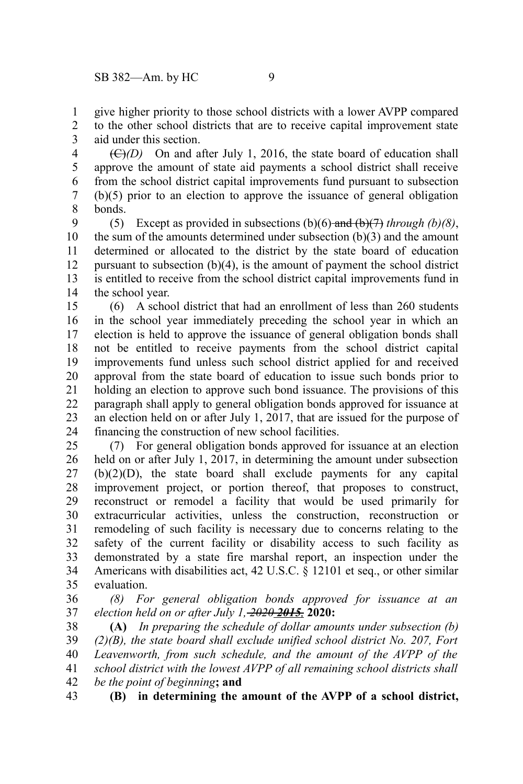give higher priority to those school districts with a lower AVPP compared 1

to the other school districts that are to receive capital improvement state aid under this section. 2 3

(C)*(D)* On and after July 1, 2016, the state board of education shall approve the amount of state aid payments a school district shall receive from the school district capital improvements fund pursuant to subsection (b)(5) prior to an election to approve the issuance of general obligation bonds. 4 5 6 7 8

(5) Except as provided in subsections  $(b)(6)$  and  $(b)(7)$  *through (b)(8)*, the sum of the amounts determined under subsection (b)(3) and the amount determined or allocated to the district by the state board of education pursuant to subsection (b)(4), is the amount of payment the school district is entitled to receive from the school district capital improvements fund in the school year. 9 10 11 12 13 14

(6) A school district that had an enrollment of less than 260 students in the school year immediately preceding the school year in which an election is held to approve the issuance of general obligation bonds shall not be entitled to receive payments from the school district capital improvements fund unless such school district applied for and received approval from the state board of education to issue such bonds prior to holding an election to approve such bond issuance. The provisions of this paragraph shall apply to general obligation bonds approved for issuance at an election held on or after July 1, 2017, that are issued for the purpose of financing the construction of new school facilities. 15 16 17 18 19 20 21 22 23 24

(7) For general obligation bonds approved for issuance at an election held on or after July 1, 2017, in determining the amount under subsection (b)(2)(D), the state board shall exclude payments for any capital improvement project, or portion thereof, that proposes to construct, reconstruct or remodel a facility that would be used primarily for extracurricular activities, unless the construction, reconstruction or remodeling of such facility is necessary due to concerns relating to the safety of the current facility or disability access to such facility as demonstrated by a state fire marshal report, an inspection under the Americans with disabilities act, 42 U.S.C. § 12101 et seq., or other similar evaluation. 25 26 27 28 29 30 31 32 33 34 35

*(8) For general obligation bonds approved for issuance at an election held on or after July 1, 2020 2015,* **2020:** 36 37

**(A)** *In preparing the schedule of dollar amounts under subsection (b) (2)(B), the state board shall exclude unified school district No. 207, Fort Leavenworth, from such schedule, and the amount of the AVPP of the school district with the lowest AVPP of all remaining school districts shall be the point of beginning***; and** 38 39 40 41 42

**(B) in determining the amount of the AVPP of a school district,** 43